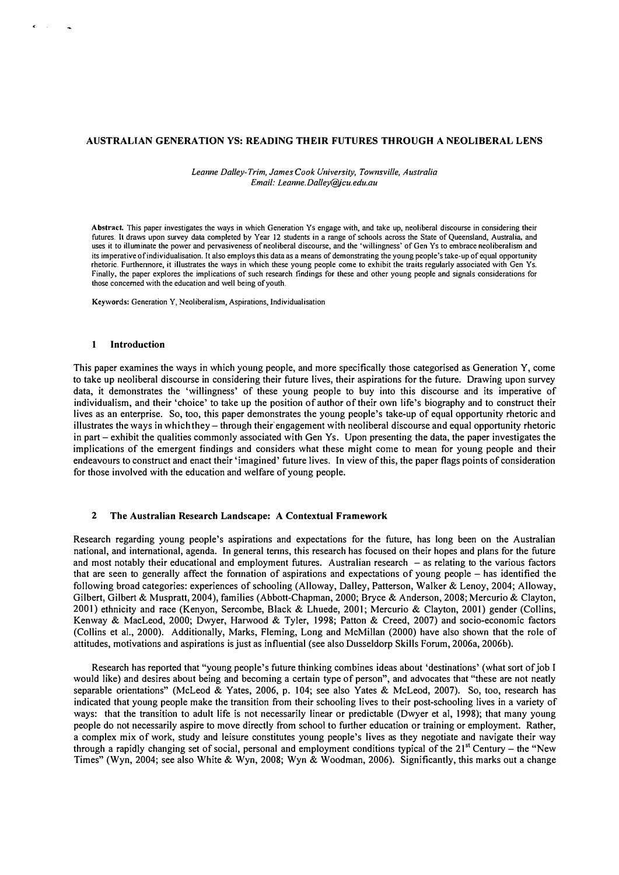## AUSTRALIAN GENERATION YS: READING THEIR FUTURES THROUGH A NEOLIBERAL LENS

Leanne Dalley-Trim, James Cook University, Townsville, Australia Email: Leanne.Dalley@jcu.edu.au

Abstract. This paper investigates the ways in which Generation Ys engage with, and take up, neoliberal discourse in considering their futures. It draws upon survey data completed by Year 12 students in a range of schools across the State of Queensland, Australia, and uses it to illuminate the power and pervasiveness of neoliberal discourse, and the 'willingness' of Gen Ys to embrace neoliberalism and its imperative of individualisation. It also employs this data as a means of demonstrating the young people's take-up of equal opportunity rhetoric. Furthennore, it illustrates the ways in which these young people come to exhibit the traits regularly associated with Gen Ys. Finally. the paper explores the implications of such research findings for these and other young people and signals considerations for those concerned with the education and well being of youth.

Keywords: Generation Y, Neoliberalism, Aspirations, Individualisation

### I Introduction

This paper examines the ways in which young people, and more specifically those categorised as Generation Y, come to take up neoliberal discourse in considering their future lives, their aspirations for the future. Drawing upon survey data, it demonstrates the 'willingness' of these young people to buy into this discourse and its imperative of individualism, and their 'choice' to take up the position of author of their own life's biography and to construct their lives as an enterprise. So, too, this paper demonstrates the young people's take-up of equal opportunity rhetoric and illustrates the ways in which they - through their' engagement with neoliberal discourse and equal opportunity rhetoric in part – exhibit the qualities commonly associated with Gen Ys. Upon presenting the data, the paper investigates the implications of the emergent findings and considers what these might come to mean for young people and their endeavours to construct and enact their 'imagined' future lives. In view of this, the paper flags points of consideration for those involved with the education and welfare of young people.

## 2 The Australian Research Landscape: A Contextual Framework

Research regarding young people's aspirations and expectations for the future, has long been on the Australian national, and international, agenda. In general tenns, this research has focused on their hopes and plans for the future and most notably their educational and employment futures. Australian research  $-$  as relating to the various factors that are seen to generally affect the fonnation of aspirations and expectations of young people - has identified the following broad categories: experiences of schooling (Alloway, Dalley, Patterson, Walker & Lenoy, 2004; Alloway, Gilbert, Gilbert & Muspratt, 2004), families (Abbott-Chapman, 2000; Bryce & Anderson, 2008; Mercurio & Clayton, 2001) ethnicity and race (Kenyon, Sercombe, Black & Lhuede, 2001; Mercurio & Clayton, 2001) gender (Collins, Kenway & MacLeod, 2000; Dwyer, Harwood & Tyler, 1998; Patton & Creed, 2007) and socio-economic factors (Collins et aI., 2000). Additionally, Marks, Fleming, Long and McMillan (2000) have also shown that the role of attitudes, motivations and aspirations is just as influential (see also Dusseldorp Skills Forum, 2006a, 2006b).

Research has reported that "young people's future thinking combines ideas about 'destinations' (what sort of job I would like) and desires about being and becoming a certain type of person", and advocates that "these are not neatly separable orientations" (McLeod & Yates, 2006, p. 104; see also Yates & McLeod, 2007). So, too, research has indicated that young people make the transition from their schooling lives to their post-schooling lives in a variety of ways: that the transition to adult life is not necessarily linear or predictable (Dwyer et al, 1998); that many young people do not necessarily aspire to move directly from school to further education or training or employment. Rather, a complex mix of work, study and leisure constitutes young people's lives as they negotiate and navigate their way through a rapidly changing set of social, personal and employment conditions typical of the  $21^{st}$  Century – the "New Times" (Wyn, 2004; see also White & Wyn, 2008; Wyn & Woodman, 2006). Significantly, this marks out a change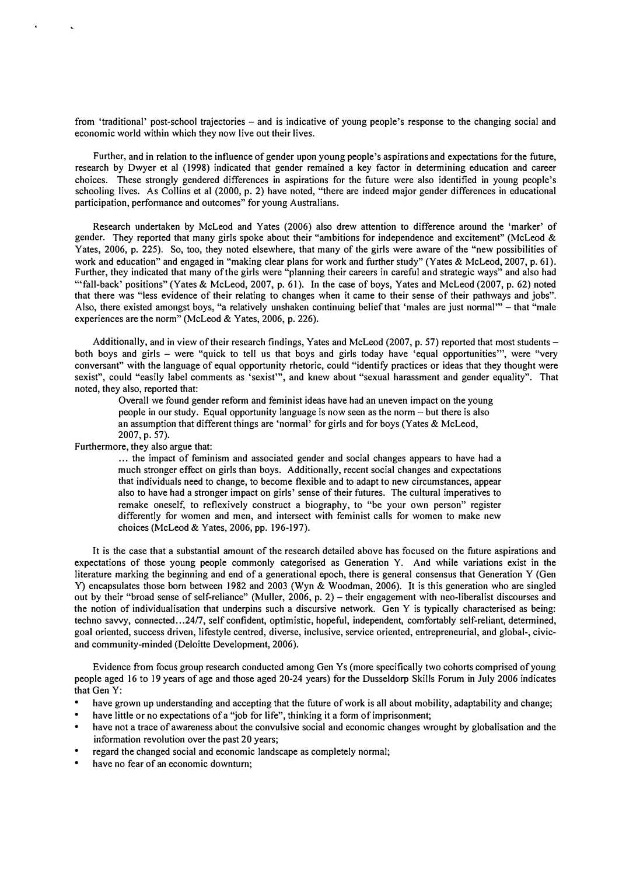from 'traditional' post-school trajectories - and is indicative of young people's response to the changing social and economic world within which they now live out their lives.

Further, and in relation to the influence of gender upon young people's aspirations and expectations for the future, research by Dwyer et al (1998) indicated that gender remained a key factor in determining education and career choices. These strongly gendered differences in aspirations for the future were also identified in young people's schooling lives. As Collins et al (2000, p. 2) have noted, "there are indeed major gender differences in educational participation, perfonnance and outcomes" for young Australians.

Research undertaken by McLeod and Yates (2006) also drew attention to difference around the 'marker' of gender. They reported that many girls spoke about their "ambitions for independence and excitement" (McLeod & Yates, 2006, p. 225). So, too, they noted elsewhere, that many of the girls were aware of the "new possibilities of work and education" and engaged in "making clear plans for work and further study" (Yates & McLeod, 2007, p. 61). Further, they indicated that many of the girls were "planning their careers in careful and strategic ways" and also had '''fall-back' positions" (Yates & McLeod, 2007, p. 61). In the case of boys, Yates and McLeod (2007, p. 62) noted that there was "less evidence of their relating to changes when it came to their sense of their pathways and jobs". Also, there existed amongst boys, "a relatively unshaken continuing belief that 'males are just normal'" – that "male experiences are the norm" (McLeod & Yates, 2006, p. 226).

Additionally, and in view of their research findings, Yates and McLeod (2007, p. 57) reported that most students – both boys and girls - were "quick to tell us that boys and girls today have 'equal opportunities''', were "very conversant" with the language of equal opportunity rhetoric, could "identify practices or ideas that they thought were sexist", could "easily label comments as 'sexist'", and knew about "sexual harassment and gender equality". That noted, they also, reported that:

Overall we found gender refonn and feminist ideas have had an uneven impact on the young people in our study. Equal opportunity language is now seen as the norm  $-$  but there is also an assumption that different things are 'normal' for girls and for boys (Yates & McLeod, 2007, p. 57).

Furthermore, they also argue that:

... the impact of feminism and associated gender and social changes appears to have had a much stronger effect on girls than boys. Additionally, recent social changes and expectations that individuals need to change, to become flexible and to adapt to new circumstances, appear also to have had a stronger impact on girls' sense of their futures. The cultural imperatives to remake oneself, to reflexively construct a biography, to "be your own person" register differently for women and men, and intersect with feminist calls for women to make new choices (McLeod & Yates, 2006, pp. 196-197).

It is the case that a substantial amount of the research detailed above has focused on the future aspirations and expectations of those young people commonly categorised as Generation Y. And while variations exist in the literature marking the beginning and end of a generational epoch, there is general consensus that Generation Y (Gen Y) encapsulates those born between 1982 and 2003 (Wyn & Woodman, 2006). It is this generation who are singled out by their "broad sense of self-reliance" (Muller, 2006, p. 2) - their engagement with neo-liberalist discourses and the notion of individualisation that underpins such a discursive network. Gen Y is typically characterised as being: techno savvy, connected ... 2417, self confident, optimistic, hopeful, independent, comfortably self-reliant, determined, goal oriented, success driven, lifestyle centred, diverse, inclusive, service oriented, entrepreneurial, and global-, civicand community-minded (Deloitte Development, 2006).

Evidence from focus group research conducted among Gen Ys (more specifically two cohorts comprised of young people aged 16 to 19 years of age and those aged 20-24 years) for the Dusseldorp Skills Forum in July 2006 indicates that Gen Y:

- have grown up understanding and accepting that the future of work is all about mobility, adaptability and change;
- have little or no expectations of a "job for life", thinking it a form of imprisonment;
- have not a trace of awareness about the convulsive social and economic changes wrought by globalisation and the information revolution over the past 20 years;
- regard the changed social and economic landscape as completely normal;
- have no fear of an economic downturn;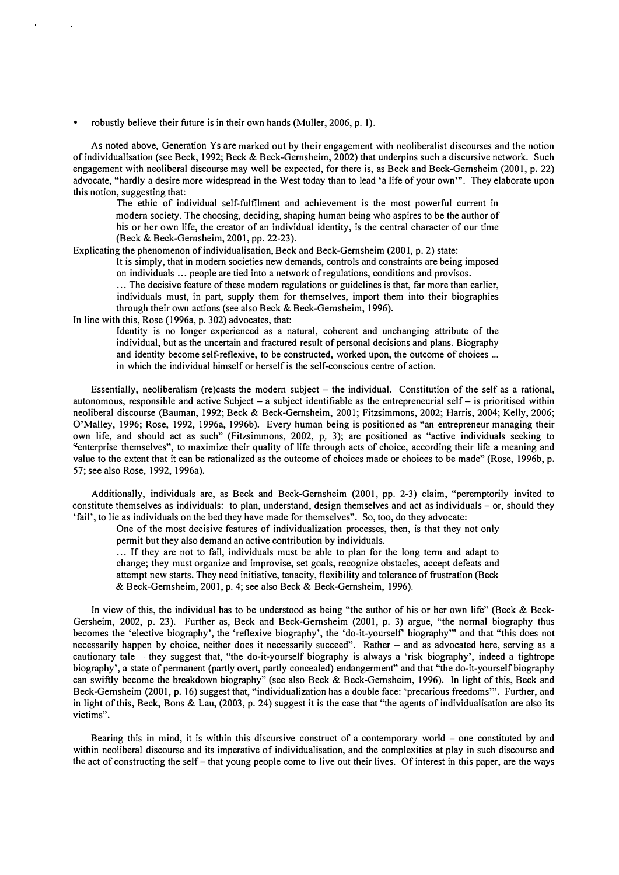• robustly believe their future is in their own hands (Muller, 2006, p. I).

As noted above, Generation Ys are marked out by their engagement with neoliberalist discourses and the notion of individualisation (see Beck, 1992; Beck & Beck-Gemsheim, 2002) that underpins such a discursive network. Such engagement with neoliberal discourse may well be expected, for there is, as Beck and Beck-Gemsheim (2001, p. 22) advocate, "hardly a desire more widespread in the West today than to lead 'a life of your own"'. They elaborate upon this notion, suggesting that:

The ethic of individual self-fulfilment and achievement is the most powerful current in modern society. The choosing, deciding, shaping human being who aspires to be the author of his or her own life, the creator of an individual identity, is the central character of our time (Beck & Beck-Gernsheim, 2001, pp. 22-23).

Explicating the phenomenon of individualisation, Beck and Beck-Gemsheim (200 I, p. 2) state:

It is simply, that in modem societies new demands, controls and constraints are being imposed on individuals ... people are tied into a network of regulations, conditions and provisos .

... The decisive feature of these modern regulations or guidelines is that, far more than earlier, individuals must, in part, supply them for themselves, import them into their biographies through their own actions (see also Beck & Beck-Gernsheim, 1996).

In line with this, Rose (1996a, p. 302) advocates, that:

Identity is no longer experienced as a natural, coherent and unchanging attribute of the individual, but as the uncertain and fractured result of personal decisions and plans. Biography and identity become self-reflexive, to be constructed, worked upon, the outcome of choices ... in which the individual himself or herself is the self-conscious centre of action.

Essentially, neoliberalism (re)casts the modern subject  $-$  the individual. Constitution of the self as a rational, autonomous, responsible and active Subject - a subject identifiable as the entrepreneurial self - is prioritised within neoliberal discourse (Bauman, 1992; Beck & Beck-Gemsheim, 2001; Fitzsimmons, 2002; Harris, 2004; Kelly, 2006; O'Malley, 1996; Rose, 1992, 1996a, 1996b). Every human being is positioned as "an entrepreneur managing their own life, and should act as such" (Fitzsimmons, 2002, P., 3); are positioned as "active individuals seeking to "enterprise themselves", to maximize their quality of life through acts of choice, according their life a meaning and value to the extent that it can be rationalized as the outcome of choices made or choices to be made" (Rose, 1996b, p. 57; see also Rose, 1992, 1996a).

Additionally, individuals are, as Beck and Beck-Gernsheim (2001, pp. 2-3) claim, "peremptorily invited to constitute themselves as individuals: to plan, understand, design themselves and act as individuals - or, should they 'fail', to lie as individuals on the bed they have made for themselves". So, too, do they advocate:

One of the most decisive features of individualization processes, then, is that they not only permit but they also demand an active contribution by individuals .

... If they are not to fail, individuals must be able to plan for the long term and adapt to change; they must organize and improvise, set goals, recognize obstacles, accept defeats and attempt new starts. They need initiative, tenacity, flexibility and tolerance of frustration (Beck & Beck-Gemsheim, 2001, p. 4; see also Beck & Beck-Gemsheim, 1996).

In view of this, the individual has to be understood as being "the author of his or her own life" (Beck & Beck-Gersheim, 2002, p. 23). Further as, Beck and Beck-Gernsheim (2001, p. 3) argue, "the normal biography thus becomes the 'elective biography', the 'reflexive biography', the 'do-it-yourself biography'" and that "this does not necessarily happen by choice, neither does it necessarily succeed". Rather - and as advocated here, serving as a cautionary tale  $-$  they suggest that, "the do-it-yourself biography is always a 'risk biography', indeed a tightrope biography', a state of permanent (partly overt, partly concealed) endangerment" and that "the do-it-yourself biography can swiftly become the breakdown biography" (see also Beck & Beck-Gemsheim, 1996). In light of this, Beck and Beck-Gernsheim (2001, p. 16) suggest that, "individualization has a double face: 'precarious freedoms"'. Further, and in light of this, Beck, Bons & Lau,  $(2003, p. 24)$  suggest it is the case that "the agents of individual isation are also its victims".

Bearing this in mind, it is within this discursive construct of a contemporary world – one constituted by and within neoliberal discourse and its imperative of individualisation, and the complexities at play in such discourse and the act of constructing the self - that young people come to live out their lives. Of interest in this paper, are the ways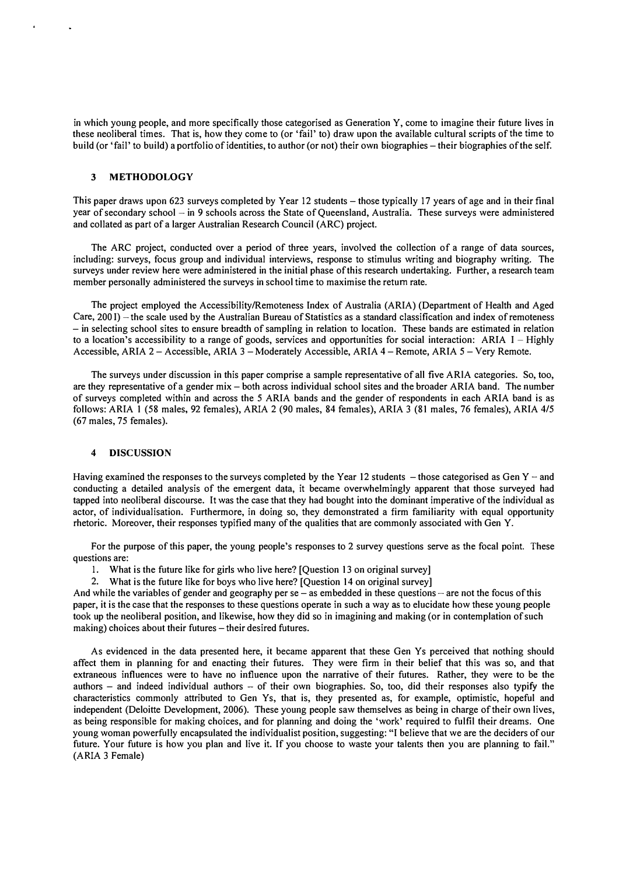in which young people, and more specifically those categorised as Generation Y, come to imagine their future lives in these neoliberal times. That is, how they come to (or 'fail' to) draw upon the available cultural scripts of the time to build (or 'fail' to build) a portfolio of identities, to author (or not) their own biographies - their biographies of the self.

# 3 METHODOLOGY

This paper draws upon 623 surveys completed by Year 12 students – those typically 17 years of age and in their final year of secondary school - in 9 schools across the State of Queensland, Australia. These surveys were administered and collated as part of a larger Australian Research Council (ARC) project.

The ARC project, conducted over a period of three years, involved the collection of a range of data sources, including: surveys, focus group and individual interviews, response to stimulus writing and biography writing. The surveys under review here were administered in the initial phase of this research undertaking. Further, a research team member personally administered the surveys in school time to maximise the return rate.

The project employed the Accessibility/Remoteness Index of Australia (ARIA) (Department of Health and Aged Care, 200 I) – the scale used by the Australian Bureau of Statistics as a standard classification and index of remoteness - in selecting school sites to ensure breadth of sampling in relation to location. These bands are estimated in relation to a location's accessibility to a range of goods, services and opportunities for social interaction: ARIA  $I$  - Highly Accessible, ARIA 2 - Accessible, ARIA 3 - Moderately Accessible, ARIA 4 - Remote, ARIA 5 - Very Remote.

The surveys under discussion in this paper comprise a sample representative of all five ARlA categories. So, too, are they representative of a gender mix – both across individual school sites and the broader ARIA band. The number of surveys completed within and across the 5 ARIA bands and the gender of respondents in each ARIA band is as follows: ARIA 1 (58 males, 92 females), ARIA 2 (90 males, 84 females), ARIA 3 (81 males, 76 females), ARIA 4/5 (67 males, 75 females).

#### 4 DISCUSSION

Having examined the responses to the surveys completed by the Year 12 students  $-$  those categorised as Gen Y  $-$  and conducting a detailed analysis of the emergent data, it became overwhelmingly apparent that those surveyed had tapped into neoliberal discourse. It was the case that they had bought into the dominant imperative of the individual as actor, of individualisation. Furthermore, in doing so, they demonstrated a firm familiarity with equal opportunity rhetoric. Moreover, their responses typified many of the qualities that are commonly associated with Gen Y.

For the purpose of this paper, the young people's responses to 2 survey questions serve as the focal point. These questions are:

I. What is the future like for girls who live here? [Question 13 on original survey]

2. What is the future like for boys who live here? [Question 14 on original survey]

And while the variables of gender and geography per  $se - as$  embedded in these questions  $-$  are not the focus of this paper, it is the case that the responses to these questions operate in such a way as to elucidate how these young people took up the neoliberal position, and likewise, how they did so in imagining and making (or in contemplation of such making) choices about their futures - their desired futures.

As evidenced in the data presented here, it became apparent that these Gen Ys perceived that nothing should affect them in planning for and enacting their futures. They were firm in their belief that this was so, and that extraneous influences were to have no influence upon the narrative of their futures. Rather, they were to be the authors - and indeed individual authors - of their own biographies. So, too, did their responses also typify the characteristics commonly attributed to Gen Ys, that is, they presented as, for example, optimistic, hopeful and independent (Deloitte Development, 2006). These young people saw themselves as being in charge of their own lives, as being responsible for making choices, and for planning and doing the 'work' required to fulfil their dreams. One young woman powerfully encapsulated the individualist position, suggesting: "I believe that we are the deciders of our future. Your future is how you plan and live it. If you choose to waste your talents then you are planning to fail." (ARIA 3 Female)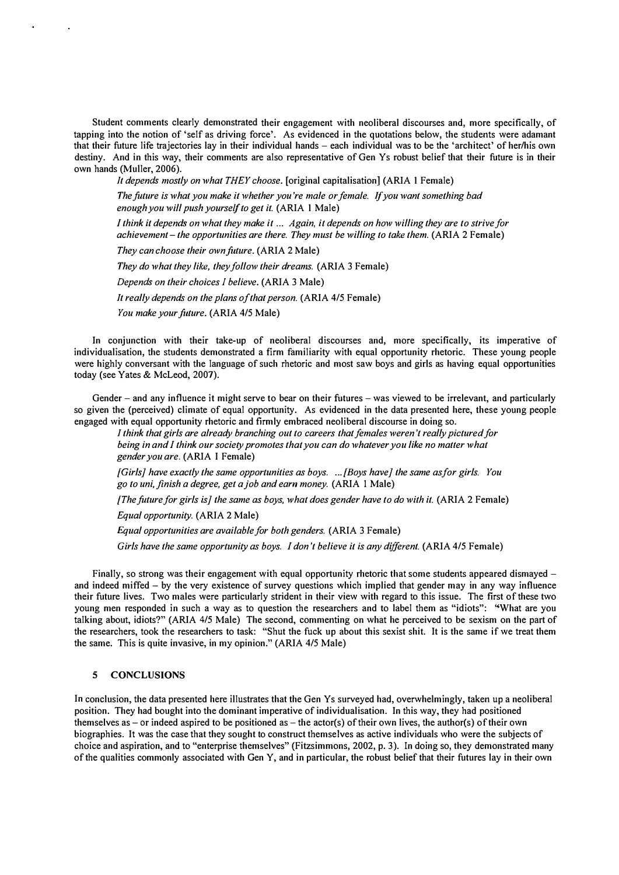Student comments clearly demonstrated their engagement with neoliberal discourses and, more specifically, of tapping into the notion of 'self as driving force'. As evidenced in the quotations below, the students were adamant that their future life trajectories lay in their individual hands - each individual was to be the 'architect' of her/his own destiny. And in this way, their comments are also representative of Gen Ys robust belief that their future is in their own hands (Muller, 2006).

It depends mostly on what THEY choose. [original capitalisation] (ARIA 1 Female)

The future is what you make it whether you're male or female. If you want something bad enough you will push yourself to get it. (ARIA 1 Male)

I think it depends on what they make it ... Again, it depends on how willing they are to strive for achievement - the opportunities are there. They must be willing to take them. (ARIA 2 Female)

They can choose their own future. (ARIA 2 Male)

They do what they like, they follow their dreams. (ARIA 3 Female)

Depends on their choices 1 believe. (ARIA 3 Male)

It really depends on the plans of that person. (ARIA 4/5 Female)

You make your future. (ARIA 4/5 Male)

In conjunction with their take-up of neoliberal discourses and, more specifically, its imperative of individualisation, the students demonstrated a firm familiarity with equal opportunity rhetoric. These young people were highly conversant with the language of such rhetoric and most saw boys and girls as having equal opportunities today (see Yates & McLeod, 2007).

Gender – and any influence it might serve to bear on their futures – was viewed to be irrelevant, and particularly so given the (perceived) climate of equal opportunity. As evidenced in the data presented here, these young people engaged with equal opportunity rhetoric and firmly embraced neoliberal discourse in doing so.

I think that girls are already branching out to careers that females weren't really pictured for being in and I think our society promotes that you can do whatever you like no matter what gender you are. (ARIA I Female)

[Girls] have exactly the same opportunities as boys .... [Boys have] the same asfor girls. You go to uni, finish a degree, get a job and earn money. (ARIA 1 Male)

[The future for girls is] the same as boys, what does gender have to do with it. (ARIA 2 Female)

Equal opportunity. (ARIA 2 Male)

Equal opportunities are available for both genders. (ARIA 3 Female)

Girls have the same opportunity as boys. I don't believe it is any different. (ARIA 4/5 Female)

Finally, so strong was their engagement with equal opportunity rhetoric that some students appeared dismayed – and indeed miffed - by the very existence of survey questions which implied that gender may in any way influence their future lives. Two males were particularly strident in their view with regard to this issue. The first of these two young men responded in such a way as to question the researchers and to label them as "idiots": "What are you talking about, idiots?" (ARIA 4/5 Male) The second, commenting on what he perceived to be sexism on the part of the researchers, took the researchers to task: "Shut the fuck up about this sexist shit. It is the same if we treat them the same. This is quite invasive, in my opinion." (ARIA 4/5 Male)

## 5 CONCLUSIONS

In conclusion, the data presented here illustrates that the Gen Ys surveyed had, overwhelmingly, taken up a neoliberal position. They had bought into the dominant imperative of individualisation. In this way, they had positioned themselves as – or indeed aspired to be positioned as – the actor(s) of their own lives, the author(s) of their own biographies. It was the case that they sought to construct themselves as active individuals who were the subjects of choice and aspiration, and to "enterprise themselves" (Fitzsimmons, 2002, p. 3). In doing so, they demonstrated many of the qualities commonly associated with Oen Y, and in particular, the robust belief that their futures lay in their own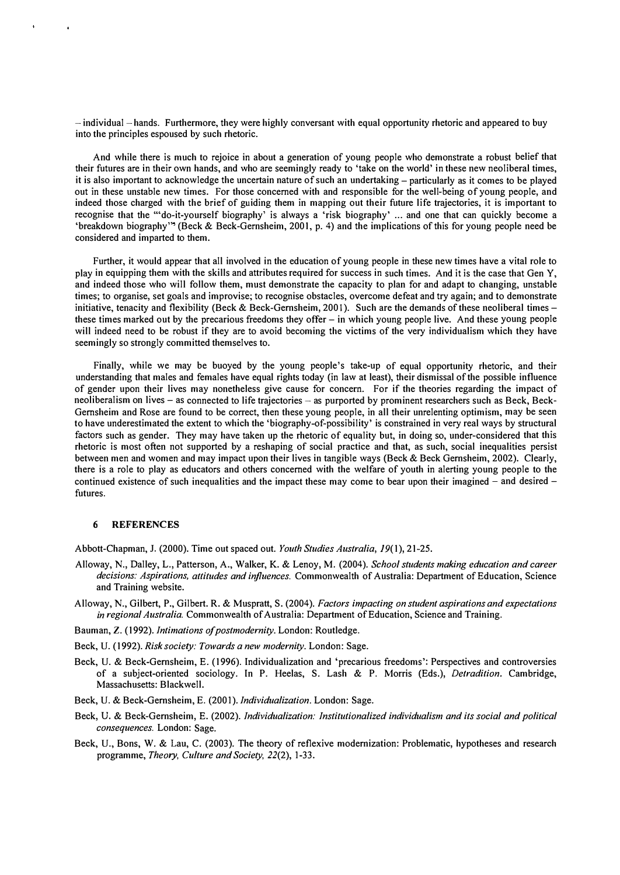$-$  individual  $-$  hands. Furthermore, they were highly conversant with equal opportunity rhetoric and appeared to buy into the principles espoused by such rhetoric.

And while there is much to rejoice in about a generation of young people who demonstrate a robust belief that their futures are in their own hands, and who are seemingly ready to 'take on the world' in these new neoliberal times, it is also important to acknowledge the uncertain nature of such an undertaking – particularly as it comes to be played out in these unstable new times. For those concerned with and responsible for the well-being of young people, and indeed those charged with the brief of guiding them in mapping out their future life trajectories, it is important to recognise that the "'do-it-yourself biography' is always a 'risk biography' ... and one that can quickly become a 'breakdown biography'" (Beck & Beck-Gernsheim, 2001, p. 4) and the implications of this for young people need be considered and imparted to them.

Further, it would appear that all involved in the education of young people in these new times have a vital role to play in equipping them with the skills and attributes required for success in such times. And it is the case that Gen Y, and indeed those who will follow them, must demonstrate the capacity to plan for and adapt to changing, unstable times; to organise, set goals and improvise; to recognise obstacles, overcome defeat and try again; and to demonstrate initiative, tenacity and flexibility (Beck & Beck-Gernsheim, 2001). Such are the demands of these neoliberal times these times marked out by the precarious freedoms they offer – in which young people live. And these young people will indeed need to be robust if they are to avoid becoming the victims of the very individualism which they have seemingly so strongly committed themselves to.

Finally, while we may be buoyed by the young people's take-up of equal opportunity rhetoric, and their understanding that males and females have equal rights today (in law at least), their dismissal of the possible influence of gender upon their lives may nonetheless give cause for concern. For if the theories regarding the impact of neoliberalism on lives - as connected to life trajectories - as purported by prominent researchers such as Beck, Beck-Gernsheim and Rose are found to be correct, then these young people, in all their unrelenting optimism, may be seen to have underestimated the extent to which the 'biography-of-possibility' is constrained in very real ways by structural factors such as gender. They may have taken up the rhetoric of equality but, in doing so, under-considered that this rhetoric is most often not supported by a reshaping of social practice and that, as such, social inequalities persist between men and women and may impact upon their lives in tangible ways (Beck & Beck Gernsheim, 2002). Clearly, there is a role to play as educators and others concerned with the welfare of youth in alerting young people to the continued existence of such inequalities and the impact these may come to bear upon their imagined – and desired – futures.

## 6 REFERENCES

Abbott-Chapman, 1. (2000). Time out spaced out. Youth Studies Australia, 19(1), 21-25.

- Alloway, N., Dalley, L., Patterson, A., Walker, K. & Lenoy, M. (2004). School students making education and career decisions: Aspirations, attitudes and influences. Commonwealth of Australia: Department of Education, Science and Training website.
- Alloway, N., Gilbert, P., Gilbert. R. & Muspratt, S. (2004). Factors impacting on student aspirations and expectations in regional Australia. Commonwealth of Australia: Department of Education, Science and Training.
- Bauman, Z. (1992). Intimations of postmodernity. London: Routledge.
- Beck, U. (1992). Risk society: Towards a new modernity. London: Sage.
- Beck, U. & Beck-Gernsheim, E. (1996). Individualization and 'precarious freedoms': Perspectives and controversies of a subject-oriented sociology. In P. Heelas, S. Lash & P. Morris (Eds.), Detradition. Cambridge, Massachusetts: Blackwell.
- Beck, U. & Beck-Gernsheim, E. (2001). Individualization. London: Sage.
- Beck, U. & Beck-Gernsheim, E. (2002). Individualization: Institutionalized individualism and its social and political consequences. London: Sage.
- Beck, U., Bons, W. & Lau, C. (2003). The theory of reflexive modernization: Problematic, hypotheses and research programme, Theory, Culture and Society, 22(2), 1-33.